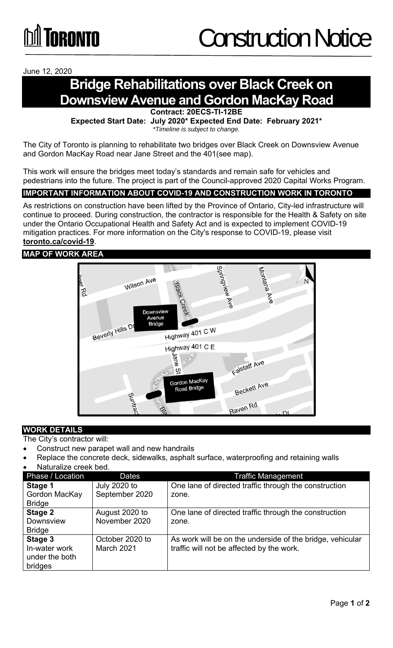June 12, 2020

# **Bridge Rehabilitations over Black Creek on Downsview Avenue and Gordon MacKay Road**

**Contract: 20ECS-TI-12BE** 

**Expected Start Date: July 2020\* Expected End Date: February 2021\***  *\*Timeline is subject to change.* 

The City of Toronto is planning to rehabilitate two bridges over Black Creek on Downsview Avenue and Gordon MacKay Road near Jane Street and the 401(see map).

This work will ensure the bridges meet today's standards and remain safe for vehicles and pedestrians into the future. The project is part of the Council-approved 2020 Capital Works Program.

## **IMPORTANT INFORMATION ABOUT COVID-19 AND CONSTRUCTION WORK IN TORONTO**

As restrictions on construction have been lifted by the Province of Ontario, City-led infrastructure will continue to proceed. During construction, the contractor is responsible for the Health & Safety on site under the Ontario Occupational Health and Safety Act and is expected to implement COVID-19 mitigation practices. For more information on the City's response to COVID-19, please visit **toronto.ca/covid-19**.

#### **MAP OF WORK AREA**



## **WORK DETAILS**

The City's contractor will:

- Construct new parapet wall and new handrails
- Replace the concrete deck, sidewalks, asphalt surface, waterproofing and retaining walls
- Naturalize creek bed.

| Phase / Location                                      | <b>Dates</b>                          | <b>Traffic Management</b>                                                                              |
|-------------------------------------------------------|---------------------------------------|--------------------------------------------------------------------------------------------------------|
| Stage 1<br>Gordon MacKay                              | <b>July 2020 to</b><br>September 2020 | One lane of directed traffic through the construction<br>zone.                                         |
| <b>Bridge</b>                                         |                                       |                                                                                                        |
| Stage 2<br><b>Downsview</b><br><b>Bridge</b>          | August 2020 to<br>November 2020       | One lane of directed traffic through the construction<br>zone.                                         |
| Stage 3<br>In-water work<br>under the both<br>bridges | October 2020 to<br>March 2021         | As work will be on the underside of the bridge, vehicular<br>traffic will not be affected by the work. |